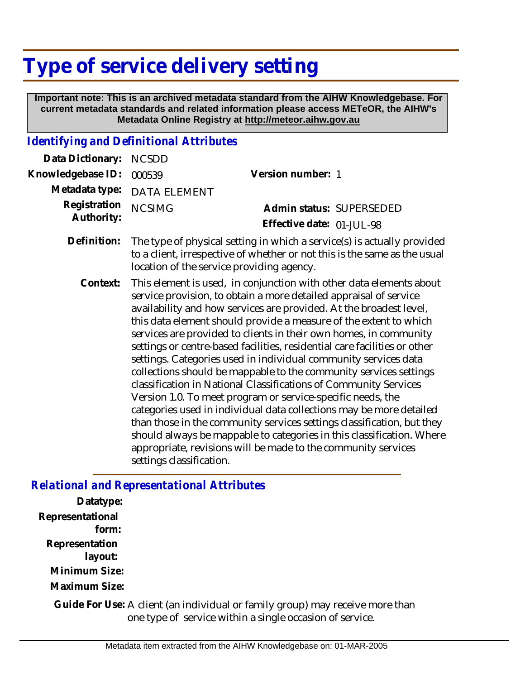## **Type of service delivery setting**

 **Important note: This is an archived metadata standard from the AIHW Knowledgebase. For current metadata standards and related information please access METeOR, the AIHW's Metadata Online Registry at http://meteor.aihw.gov.au**

## *Identifying and Definitional Attributes*

| Data Dictionary:           | <b>NCSDD</b>                                                                                                                                                                                                                                                                                                                                                                                                                                                                                                                                                                                                                                                                                                                                                                                                                                                                                                                                                                                                                            |                                                       |
|----------------------------|-----------------------------------------------------------------------------------------------------------------------------------------------------------------------------------------------------------------------------------------------------------------------------------------------------------------------------------------------------------------------------------------------------------------------------------------------------------------------------------------------------------------------------------------------------------------------------------------------------------------------------------------------------------------------------------------------------------------------------------------------------------------------------------------------------------------------------------------------------------------------------------------------------------------------------------------------------------------------------------------------------------------------------------------|-------------------------------------------------------|
| Knowledgebase ID:          | 000539                                                                                                                                                                                                                                                                                                                                                                                                                                                                                                                                                                                                                                                                                                                                                                                                                                                                                                                                                                                                                                  | Version number: 1                                     |
| Metadata type:             | <b>DATA ELEMENT</b>                                                                                                                                                                                                                                                                                                                                                                                                                                                                                                                                                                                                                                                                                                                                                                                                                                                                                                                                                                                                                     |                                                       |
| Registration<br>Authority: | <b>NCSIMG</b>                                                                                                                                                                                                                                                                                                                                                                                                                                                                                                                                                                                                                                                                                                                                                                                                                                                                                                                                                                                                                           | Admin status: SUPERSEDED<br>Effective date: 01-JUL-98 |
| Definition:                | The type of physical setting in which a service(s) is actually provided<br>to a client, irrespective of whether or not this is the same as the usual<br>location of the service providing agency.                                                                                                                                                                                                                                                                                                                                                                                                                                                                                                                                                                                                                                                                                                                                                                                                                                       |                                                       |
| Context:                   | This element is used, in conjunction with other data elements about<br>service provision, to obtain a more detailed appraisal of service<br>availability and how services are provided. At the broadest level,<br>this data element should provide a measure of the extent to which<br>services are provided to clients in their own homes, in community<br>settings or centre-based facilities, residential care facilities or other<br>settings. Categories used in individual community services data<br>collections should be mappable to the community services settings<br>classification in National Classifications of Community Services<br>Version 1.0. To meet program or service-specific needs, the<br>categories used in individual data collections may be more detailed<br>than those in the community services settings classification, but they<br>should always be mappable to categories in this classification. Where<br>appropriate, revisions will be made to the community services<br>settings classification. |                                                       |

## *Relational and Representational Attributes*

**Datatype: Representational form: Representation layout: Minimum Size: Maximum Size:**

Guide For Use: A client (an individual or family group) may receive more than one type of service within a single occasion of service.